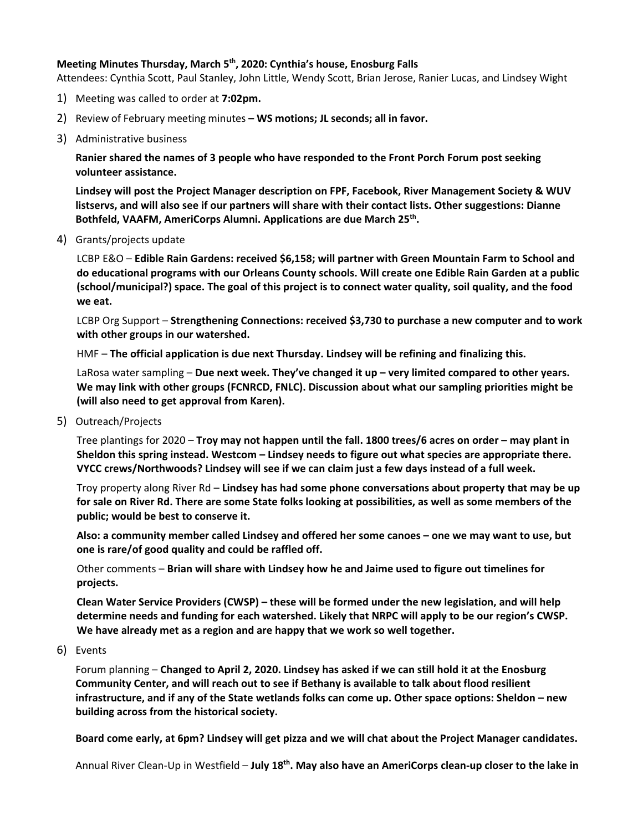## **Meeting Minutes Thursday, March 5th, 2020: Cynthia's house, Enosburg Falls**

Attendees: Cynthia Scott, Paul Stanley, John Little, Wendy Scott, Brian Jerose, Ranier Lucas, and Lindsey Wight

- 1) Meeting was called to order at **7:02pm.**
- 2) Review of February meeting minutes **– WS motions; JL seconds; all in favor.**
- 3) Administrative business

**Ranier shared the names of 3 people who have responded to the Front Porch Forum post seeking volunteer assistance.** 

**Lindsey will post the Project Manager description on FPF, Facebook, River Management Society & WUV listservs, and will also see if our partners will share with their contact lists. Other suggestions: Dianne Bothfeld, VAAFM, AmeriCorps Alumni. Applications are due March 25th.**

4) Grants/projects update

LCBP E&O – **Edible Rain Gardens: received \$6,158; will partner with Green Mountain Farm to School and do educational programs with our Orleans County schools. Will create one Edible Rain Garden at a public (school/municipal?) space. The goal of this project is to connect water quality, soil quality, and the food we eat.**

LCBP Org Support – **Strengthening Connections: received \$3,730 to purchase a new computer and to work with other groups in our watershed.**

HMF – **The official application is due next Thursday. Lindsey will be refining and finalizing this.** 

LaRosa water sampling – **Due next week. They've changed it up – very limited compared to other years. We may link with other groups (FCNRCD, FNLC). Discussion about what our sampling priorities might be (will also need to get approval from Karen).**

5) Outreach/Projects

Tree plantings for 2020 – **Troy may not happen until the fall. 1800 trees/6 acres on order – may plant in Sheldon this spring instead. Westcom – Lindsey needs to figure out what species are appropriate there. VYCC crews/Northwoods? Lindsey will see if we can claim just a few days instead of a full week.** 

Troy property along River Rd – **Lindsey has had some phone conversations about property that may be up for sale on River Rd. There are some State folks looking at possibilities, as well as some members of the public; would be best to conserve it.** 

**Also: a community member called Lindsey and offered her some canoes – one we may want to use, but one is rare/of good quality and could be raffled off.**

Other comments – **Brian will share with Lindsey how he and Jaime used to figure out timelines for projects.**

**Clean Water Service Providers (CWSP) – these will be formed under the new legislation, and will help determine needs and funding for each watershed. Likely that NRPC will apply to be our region's CWSP. We have already met as a region and are happy that we work so well together.** 

6) Events

Forum planning – **Changed to April 2, 2020. Lindsey has asked if we can still hold it at the Enosburg Community Center, and will reach out to see if Bethany is available to talk about flood resilient infrastructure, and if any of the State wetlands folks can come up. Other space options: Sheldon – new building across from the historical society.**

**Board come early, at 6pm? Lindsey will get pizza and we will chat about the Project Manager candidates.**

Annual River Clean-Up in Westfield – **July 18th. May also have an AmeriCorps clean-up closer to the lake in**